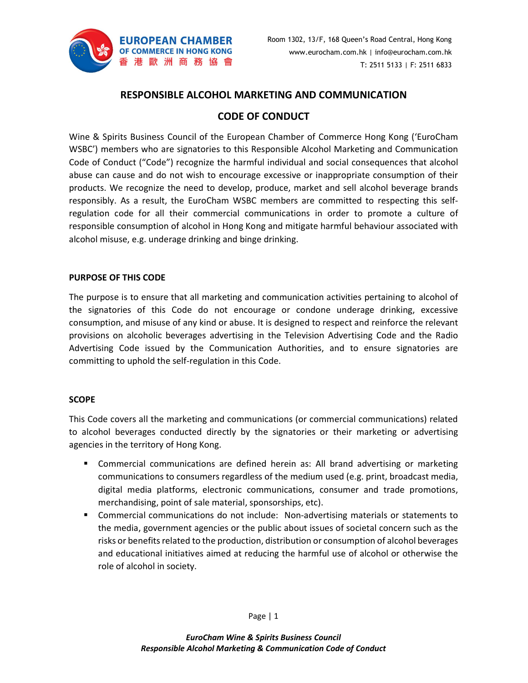

# RESPONSIBLE ALCOHOL MARKETING AND COMMUNICATION

## CODE OF CONDUCT

Wine & Spirits Business Council of the European Chamber of Commerce Hong Kong ('EuroCham WSBC') members who are signatories to this Responsible Alcohol Marketing and Communication Code of Conduct ("Code") recognize the harmful individual and social consequences that alcohol abuse can cause and do not wish to encourage excessive or inappropriate consumption of their products. We recognize the need to develop, produce, market and sell alcohol beverage brands responsibly. As a result, the EuroCham WSBC members are committed to respecting this selfregulation code for all their commercial communications in order to promote a culture of responsible consumption of alcohol in Hong Kong and mitigate harmful behaviour associated with alcohol misuse, e.g. underage drinking and binge drinking.

### PURPOSE OF THIS CODE

The purpose is to ensure that all marketing and communication activities pertaining to alcohol of the signatories of this Code do not encourage or condone underage drinking, excessive consumption, and misuse of any kind or abuse. It is designed to respect and reinforce the relevant provisions on alcoholic beverages advertising in the Television Advertising Code and the Radio Advertising Code issued by the Communication Authorities, and to ensure signatories are committing to uphold the self-regulation in this Code.

### **SCOPE**

This Code covers all the marketing and communications (or commercial communications) related to alcohol beverages conducted directly by the signatories or their marketing or advertising agencies in the territory of Hong Kong.

- Commercial communications are defined herein as: All brand advertising or marketing communications to consumers regardless of the medium used (e.g. print, broadcast media, digital media platforms, electronic communications, consumer and trade promotions, merchandising, point of sale material, sponsorships, etc).
- Commercial communications do not include: Non-advertising materials or statements to the media, government agencies or the public about issues of societal concern such as the risks or benefits related to the production, distribution or consumption of alcohol beverages and educational initiatives aimed at reducing the harmful use of alcohol or otherwise the role of alcohol in society.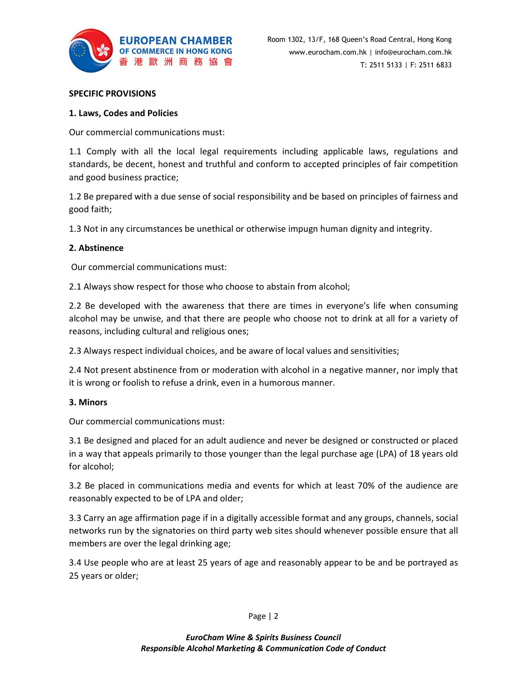

#### SPECIFIC PROVISIONS

#### 1. Laws, Codes and Policies

Our commercial communications must:

1.1 Comply with all the local legal requirements including applicable laws, regulations and standards, be decent, honest and truthful and conform to accepted principles of fair competition and good business practice;

1.2 Be prepared with a due sense of social responsibility and be based on principles of fairness and good faith;

1.3 Not in any circumstances be unethical or otherwise impugn human dignity and integrity.

### 2. Abstinence

Our commercial communications must:

2.1 Always show respect for those who choose to abstain from alcohol;

2.2 Be developed with the awareness that there are times in everyone's life when consuming alcohol may be unwise, and that there are people who choose not to drink at all for a variety of reasons, including cultural and religious ones;

2.3 Always respect individual choices, and be aware of local values and sensitivities;

2.4 Not present abstinence from or moderation with alcohol in a negative manner, nor imply that it is wrong or foolish to refuse a drink, even in a humorous manner.

#### 3. Minors

Our commercial communications must:

3.1 Be designed and placed for an adult audience and never be designed or constructed or placed in a way that appeals primarily to those younger than the legal purchase age (LPA) of 18 years old for alcohol;

3.2 Be placed in communications media and events for which at least 70% of the audience are reasonably expected to be of LPA and older;

3.3 Carry an age affirmation page if in a digitally accessible format and any groups, channels, social networks run by the signatories on third party web sites should whenever possible ensure that all members are over the legal drinking age;

3.4 Use people who are at least 25 years of age and reasonably appear to be and be portrayed as 25 years or older;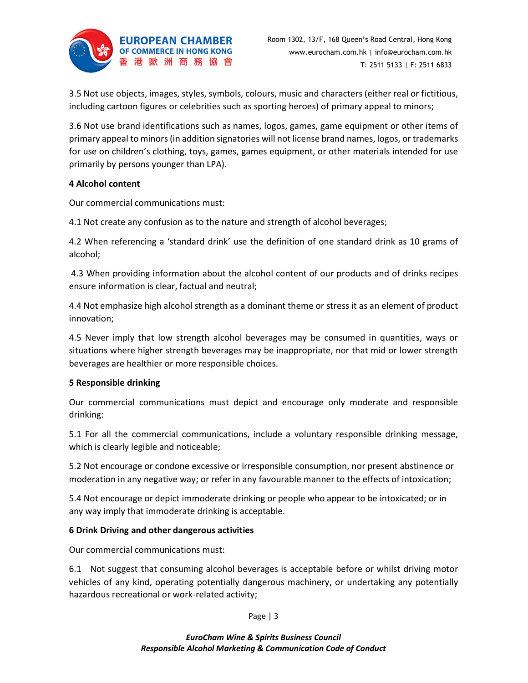

3.5 Not use objects, images, styles, symbols, colours, music and characters (either real or fictitious, including cartoon figures or celebrities such as sporting heroes) of primary appeal to minors;

3.6 Not use brand identifications such as names, logos, games, game equipment or other items of primary appeal to minors (in addition signatories will not license brand names, logos, or trademarks for use on children's clothing, toys, games, games equipment, or other materials intended for use primarily by persons younger than LPA).

### 4 Alcohol content

Our commercial communications must:

4.1 Not create any confusion as to the nature and strength of alcohol beverages;

4.2 When referencing a 'standard drink' use the definition of one standard drink as 10 grams of alcohol;

 4.3 When providing information about the alcohol content of our products and of drinks recipes ensure information is clear, factual and neutral;

4.4 Not emphasize high alcohol strength as a dominant theme or stress it as an element of product innovation;

4.5 Never imply that low strength alcohol beverages may be consumed in quantities, ways or situations where higher strength beverages may be inappropriate, nor that mid or lower strength beverages are healthier or more responsible choices.

## 5 Responsible drinking

Our commercial communications must depict and encourage only moderate and responsible drinking:

5.1 For all the commercial communications, include a voluntary responsible drinking message, which is clearly legible and noticeable;

5.2 Not encourage or condone excessive or irresponsible consumption, nor present abstinence or moderation in any negative way; or refer in any favourable manner to the effects of intoxication;

5.4 Not encourage or depict immoderate drinking or people who appear to be intoxicated; or in any way imply that immoderate drinking is acceptable.

## 6 Drink Driving and other dangerous activities

Our commercial communications must:

6.1 Not suggest that consuming alcohol beverages is acceptable before or whilst driving motor vehicles of any kind, operating potentially dangerous machinery, or undertaking any potentially hazardous recreational or work-related activity;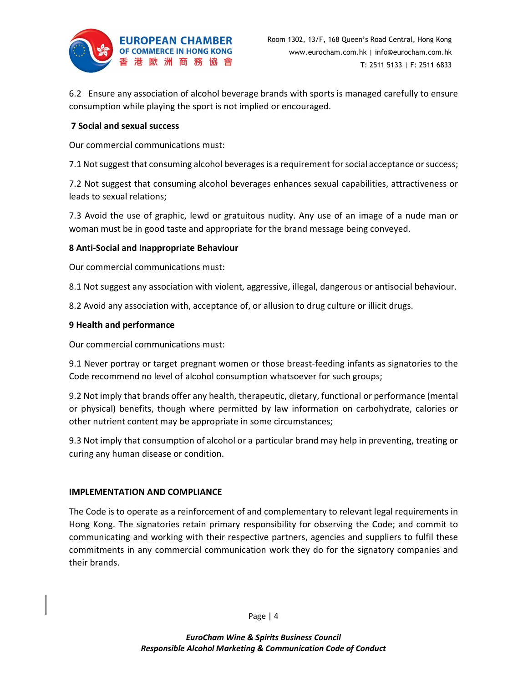

6.2 Ensure any association of alcohol beverage brands with sports is managed carefully to ensure consumption while playing the sport is not implied or encouraged.

### 7 Social and sexual success

Our commercial communications must:

7.1 Not suggest that consuming alcohol beverages is a requirement for social acceptance or success;

7.2 Not suggest that consuming alcohol beverages enhances sexual capabilities, attractiveness or leads to sexual relations;

7.3 Avoid the use of graphic, lewd or gratuitous nudity. Any use of an image of a nude man or woman must be in good taste and appropriate for the brand message being conveyed.

### 8 Anti-Social and Inappropriate Behaviour

Our commercial communications must:

8.1 Not suggest any association with violent, aggressive, illegal, dangerous or antisocial behaviour.

8.2 Avoid any association with, acceptance of, or allusion to drug culture or illicit drugs.

### 9 Health and performance

Our commercial communications must:

9.1 Never portray or target pregnant women or those breast-feeding infants as signatories to the Code recommend no level of alcohol consumption whatsoever for such groups;

9.2 Not imply that brands offer any health, therapeutic, dietary, functional or performance (mental or physical) benefits, though where permitted by law information on carbohydrate, calories or other nutrient content may be appropriate in some circumstances;

9.3 Not imply that consumption of alcohol or a particular brand may help in preventing, treating or curing any human disease or condition.

### IMPLEMENTATION AND COMPLIANCE

The Code is to operate as a reinforcement of and complementary to relevant legal requirements in Hong Kong. The signatories retain primary responsibility for observing the Code; and commit to communicating and working with their respective partners, agencies and suppliers to fulfil these commitments in any commercial communication work they do for the signatory companies and their brands.